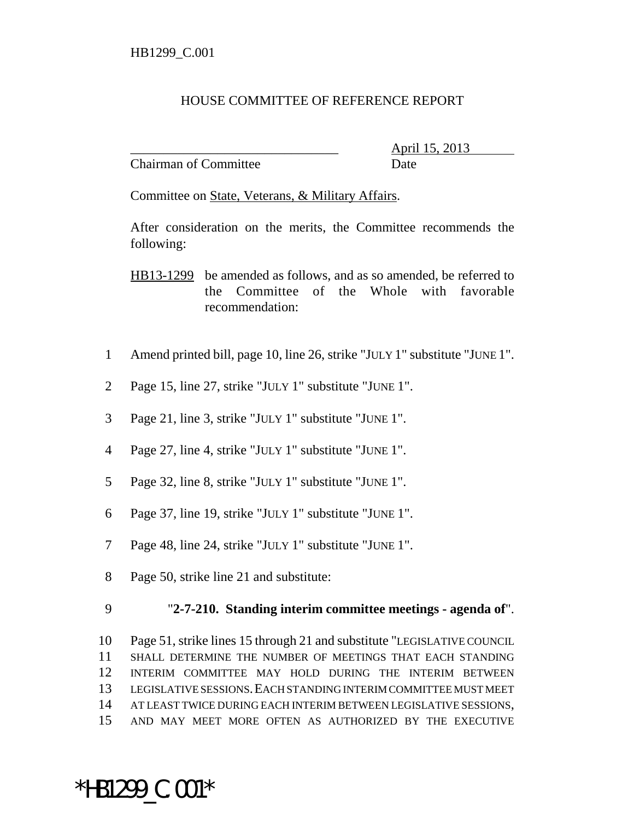## HOUSE COMMITTEE OF REFERENCE REPORT

Chairman of Committee Date

\_\_\_\_\_\_\_\_\_\_\_\_\_\_\_\_\_\_\_\_\_\_\_\_\_\_\_\_\_\_\_ April 15, 2013

Committee on State, Veterans, & Military Affairs.

After consideration on the merits, the Committee recommends the following:

HB13-1299 be amended as follows, and as so amended, be referred to the Committee of the Whole with favorable recommendation:

- 1 Amend printed bill, page 10, line 26, strike "JULY 1" substitute "JUNE 1".
- 2 Page 15, line 27, strike "JULY 1" substitute "JUNE 1".
- 3 Page 21, line 3, strike "JULY 1" substitute "JUNE 1".
- 4 Page 27, line 4, strike "JULY 1" substitute "JUNE 1".
- 5 Page 32, line 8, strike "JULY 1" substitute "JUNE 1".
- 6 Page 37, line 19, strike "JULY 1" substitute "JUNE 1".
- 7 Page 48, line 24, strike "JULY 1" substitute "JUNE 1".
- 8 Page 50, strike line 21 and substitute:

\*HB1299\_C.001\*

## 9 "**2-7-210. Standing interim committee meetings - agenda of**".

 Page 51, strike lines 15 through 21 and substitute "LEGISLATIVE COUNCIL SHALL DETERMINE THE NUMBER OF MEETINGS THAT EACH STANDING INTERIM COMMITTEE MAY HOLD DURING THE INTERIM BETWEEN LEGISLATIVE SESSIONS.EACH STANDING INTERIM COMMITTEE MUST MEET AT LEAST TWICE DURING EACH INTERIM BETWEEN LEGISLATIVE SESSIONS, AND MAY MEET MORE OFTEN AS AUTHORIZED BY THE EXECUTIVE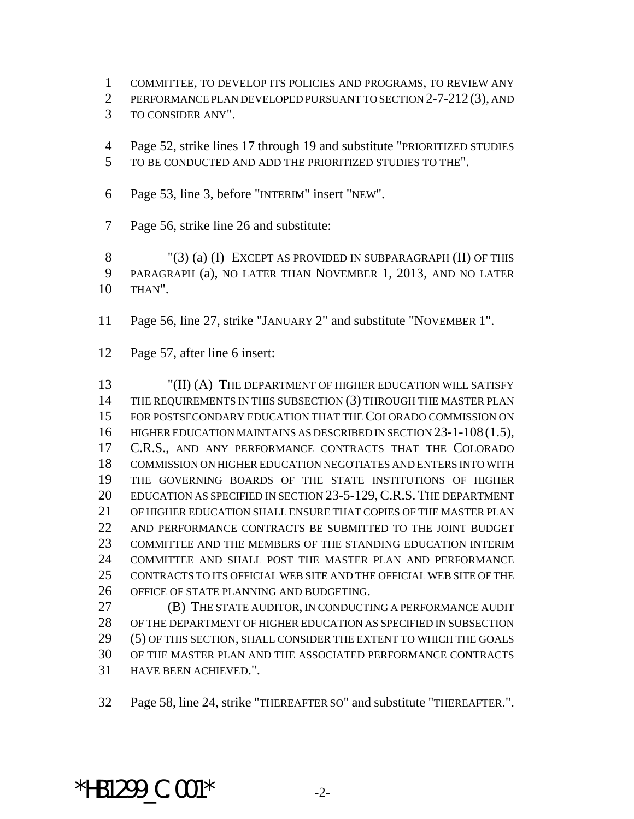COMMITTEE, TO DEVELOP ITS POLICIES AND PROGRAMS, TO REVIEW ANY

PERFORMANCE PLAN DEVELOPED PURSUANT TO SECTION 2-7-212 (3), AND

TO CONSIDER ANY".

 Page 52, strike lines 17 through 19 and substitute "PRIORITIZED STUDIES TO BE CONDUCTED AND ADD THE PRIORITIZED STUDIES TO THE".

Page 53, line 3, before "INTERIM" insert "NEW".

Page 56, strike line 26 and substitute:

8 "(3) (a) (I) EXCEPT AS PROVIDED IN SUBPARAGRAPH (II) OF THIS PARAGRAPH (a), NO LATER THAN NOVEMBER 1, 2013, AND NO LATER THAN".

Page 56, line 27, strike "JANUARY 2" and substitute "NOVEMBER 1".

Page 57, after line 6 insert:

 "(II) (A) THE DEPARTMENT OF HIGHER EDUCATION WILL SATISFY 14 THE REQUIREMENTS IN THIS SUBSECTION (3) THROUGH THE MASTER PLAN FOR POSTSECONDARY EDUCATION THAT THE COLORADO COMMISSION ON 16 HIGHER EDUCATION MAINTAINS AS DESCRIBED IN SECTION 23-1-108 (1.5), C.R.S., AND ANY PERFORMANCE CONTRACTS THAT THE COLORADO COMMISSION ON HIGHER EDUCATION NEGOTIATES AND ENTERS INTO WITH THE GOVERNING BOARDS OF THE STATE INSTITUTIONS OF HIGHER EDUCATION AS SPECIFIED IN SECTION 23-5-129,C.R.S. THE DEPARTMENT OF HIGHER EDUCATION SHALL ENSURE THAT COPIES OF THE MASTER PLAN AND PERFORMANCE CONTRACTS BE SUBMITTED TO THE JOINT BUDGET COMMITTEE AND THE MEMBERS OF THE STANDING EDUCATION INTERIM COMMITTEE AND SHALL POST THE MASTER PLAN AND PERFORMANCE CONTRACTS TO ITS OFFICIAL WEB SITE AND THE OFFICIAL WEB SITE OF THE OFFICE OF STATE PLANNING AND BUDGETING.

 (B) THE STATE AUDITOR, IN CONDUCTING A PERFORMANCE AUDIT OF THE DEPARTMENT OF HIGHER EDUCATION AS SPECIFIED IN SUBSECTION (5) OF THIS SECTION, SHALL CONSIDER THE EXTENT TO WHICH THE GOALS OF THE MASTER PLAN AND THE ASSOCIATED PERFORMANCE CONTRACTS HAVE BEEN ACHIEVED.".

Page 58, line 24, strike "THEREAFTER SO" and substitute "THEREAFTER.".

## \*HB1299  $C.001*$   $2-$